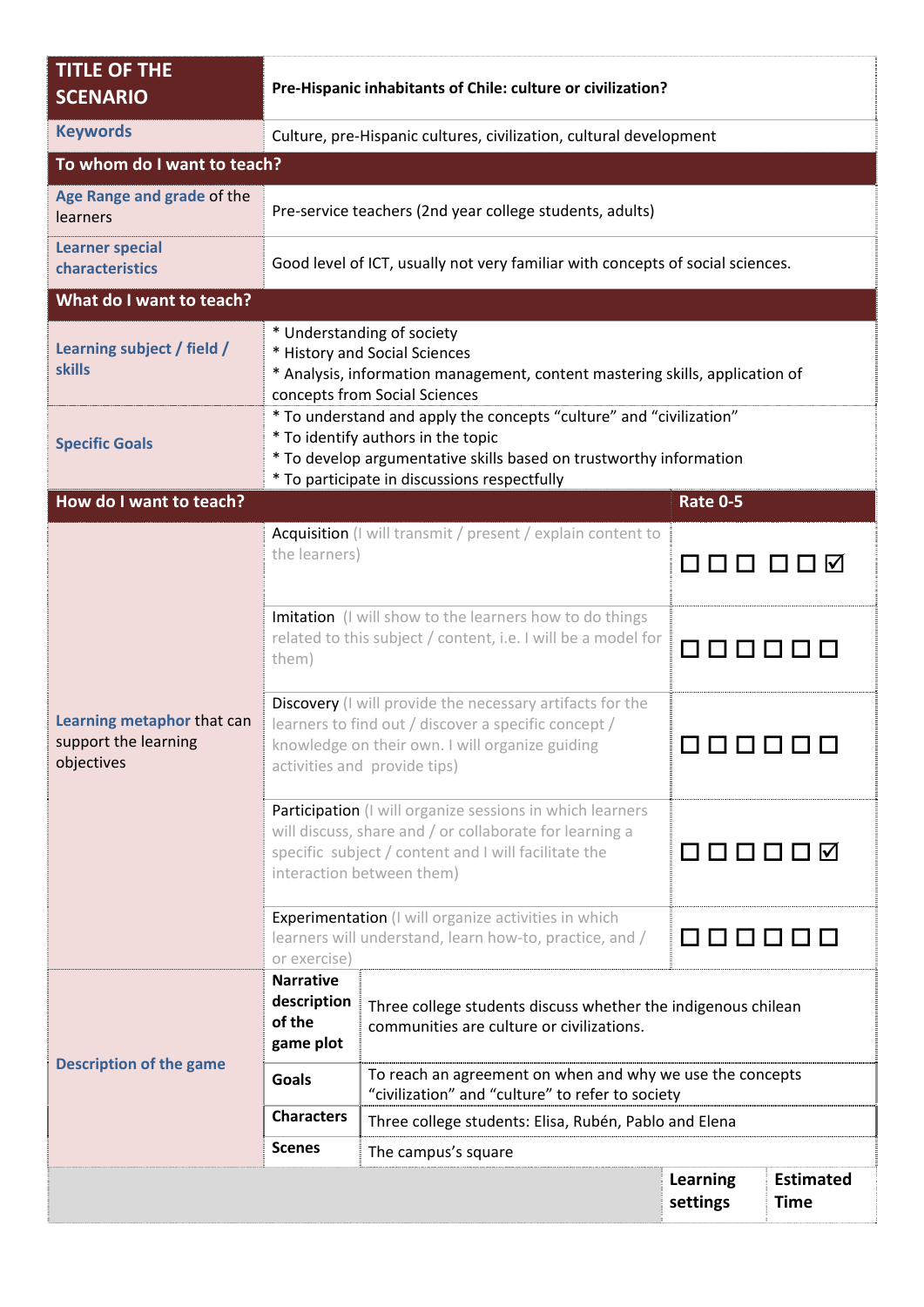| <b>TITLE OF THE</b><br><b>SCENARIO</b>                           | Pre-Hispanic inhabitants of Chile: culture or civilization?                                                                                                                                                                     |                                                                                                               |                             |                                 |  |  |  |
|------------------------------------------------------------------|---------------------------------------------------------------------------------------------------------------------------------------------------------------------------------------------------------------------------------|---------------------------------------------------------------------------------------------------------------|-----------------------------|---------------------------------|--|--|--|
| <b>Keywords</b>                                                  | Culture, pre-Hispanic cultures, civilization, cultural development                                                                                                                                                              |                                                                                                               |                             |                                 |  |  |  |
| To whom do I want to teach?                                      |                                                                                                                                                                                                                                 |                                                                                                               |                             |                                 |  |  |  |
| Age Range and grade of the<br><b>learners</b>                    | Pre-service teachers (2nd year college students, adults)                                                                                                                                                                        |                                                                                                               |                             |                                 |  |  |  |
| <b>Learner special</b><br>characteristics                        | Good level of ICT, usually not very familiar with concepts of social sciences.                                                                                                                                                  |                                                                                                               |                             |                                 |  |  |  |
| What do I want to teach?                                         |                                                                                                                                                                                                                                 |                                                                                                               |                             |                                 |  |  |  |
| Learning subject / field /<br><b>skills</b>                      | * Understanding of society<br>* History and Social Sciences<br>* Analysis, information management, content mastering skills, application of<br>concepts from Social Sciences                                                    |                                                                                                               |                             |                                 |  |  |  |
| <b>Specific Goals</b>                                            | * To understand and apply the concepts "culture" and "civilization"<br>* To identify authors in the topic<br>* To develop argumentative skills based on trustworthy information<br>* To participate in discussions respectfully |                                                                                                               |                             |                                 |  |  |  |
| How do I want to teach?                                          |                                                                                                                                                                                                                                 |                                                                                                               | <b>Rate 0-5</b>             |                                 |  |  |  |
|                                                                  | Acquisition (I will transmit / present / explain content to<br>the learners)                                                                                                                                                    |                                                                                                               | □   ✓<br>$\mathbf{L}$       |                                 |  |  |  |
| Learning metaphor that can<br>support the learning<br>objectives | Imitation (I will show to the learners how to do things<br>related to this subject / content, i.e. I will be a model for<br>them)                                                                                               |                                                                                                               | 000000                      |                                 |  |  |  |
|                                                                  | Discovery (I will provide the necessary artifacts for the<br>learners to find out / discover a specific concept /<br>knowledge on their own. I will organize guiding<br>activities and provide tips)                            |                                                                                                               |                             |                                 |  |  |  |
|                                                                  | Participation (I will organize sessions in which learners<br>will discuss, share and / or collaborate for learning a<br>specific subject / content and I will facilitate the<br>interaction between them)                       |                                                                                                               | 000000                      |                                 |  |  |  |
|                                                                  | Experimentation (I will organize activities in which<br>learners will understand, learn how-to, practice, and /<br>or exercise)                                                                                                 |                                                                                                               | 888888                      |                                 |  |  |  |
| <b>Description of the game</b>                                   | <b>Narrative</b><br>description<br>of the<br>game plot                                                                                                                                                                          | Three college students discuss whether the indigenous chilean<br>communities are culture or civilizations.    |                             |                                 |  |  |  |
|                                                                  | <b>Goals</b>                                                                                                                                                                                                                    | To reach an agreement on when and why we use the concepts<br>"civilization" and "culture" to refer to society |                             |                                 |  |  |  |
|                                                                  | <b>Characters</b>                                                                                                                                                                                                               | Three college students: Elisa, Rubén, Pablo and Elena                                                         |                             |                                 |  |  |  |
|                                                                  | <b>Scenes</b>                                                                                                                                                                                                                   | The campus's square                                                                                           |                             |                                 |  |  |  |
|                                                                  |                                                                                                                                                                                                                                 |                                                                                                               | <b>Learning</b><br>settings | <b>Estimated</b><br><b>Time</b> |  |  |  |